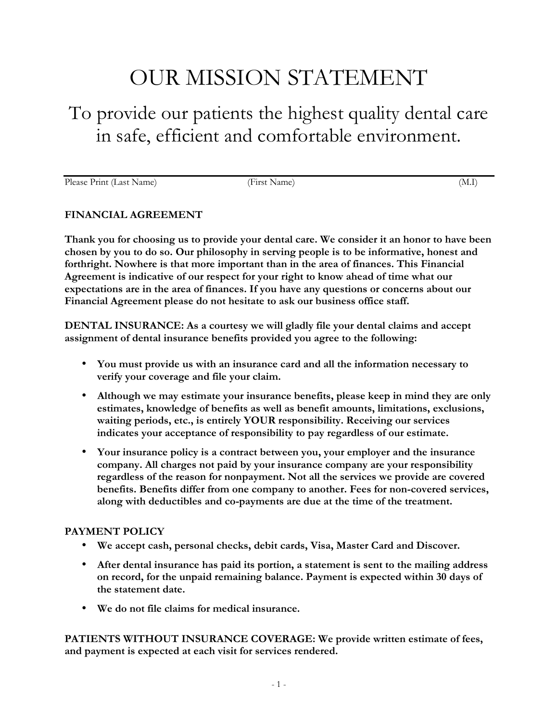# OUR MISSION STATEMENT

# To provide our patients the highest quality dental care in safe, efficient and comfortable environment.

Please Print (Last Name) (First Name) (First Name) (M.I)

#### **FINANCIAL AGREEMENT**

**Thank you for choosing us to provide your dental care. We consider it an honor to have been chosen by you to do so. Our philosophy in serving people is to be informative, honest and forthright. Nowhere is that more important than in the area of finances. This Financial Agreement is indicative of our respect for your right to know ahead of time what our expectations are in the area of finances. If you have any questions or concerns about our Financial Agreement please do not hesitate to ask our business office staff.** 

**DENTAL INSURANCE: As a courtesy we will gladly file your dental claims and accept assignment of dental insurance benefits provided you agree to the following:** 

- **You must provide us with an insurance card and all the information necessary to verify your coverage and file your claim.**
- **Although we may estimate your insurance benefits, please keep in mind they are only estimates, knowledge of benefits as well as benefit amounts, limitations, exclusions, waiting periods, etc., is entirely YOUR responsibility. Receiving our services indicates your acceptance of responsibility to pay regardless of our estimate.**
- **Your insurance policy is a contract between you, your employer and the insurance company. All charges not paid by your insurance company are your responsibility regardless of the reason for nonpayment. Not all the services we provide are covered benefits. Benefits differ from one company to another. Fees for non-covered services, along with deductibles and co-payments are due at the time of the treatment.**

## **PAYMENT POLICY**

- **We accept cash, personal checks, debit cards, Visa, Master Card and Discover.**
- **After dental insurance has paid its portion, a statement is sent to the mailing address on record, for the unpaid remaining balance. Payment is expected within 30 days of the statement date.**
- **We do not file claims for medical insurance.**

**PATIENTS WITHOUT INSURANCE COVERAGE: We provide written estimate of fees, and payment is expected at each visit for services rendered.**